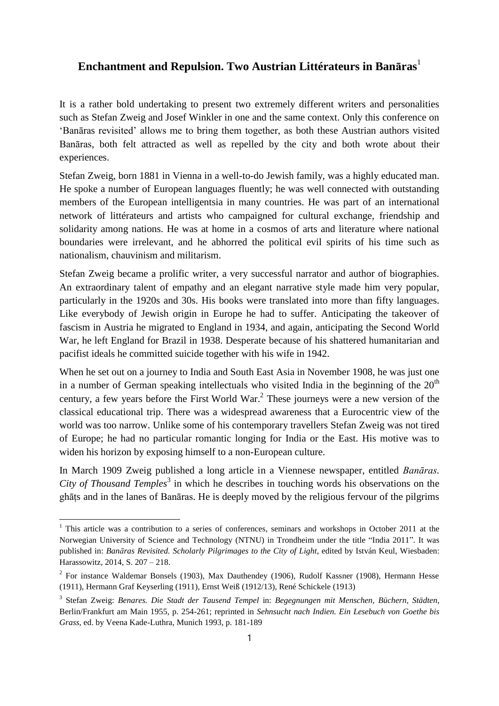## **Enchantment and Repulsion. Two Austrian Littérateurs in Banāras**<sup>1</sup>

It is a rather bold undertaking to present two extremely different writers and personalities such as Stefan Zweig and Josef Winkler in one and the same context. Only this conference on 'Banāras revisited' allows me to bring them together, as both these Austrian authors visited Banāras, both felt attracted as well as repelled by the city and both wrote about their experiences.

Stefan Zweig, born 1881 in Vienna in a well-to-do Jewish family, was a highly educated man. He spoke a number of European languages fluently; he was well connected with outstanding members of the European intelligentsia in many countries. He was part of an international network of littérateurs and artists who campaigned for cultural exchange, friendship and solidarity among nations. He was at home in a cosmos of arts and literature where national boundaries were irrelevant, and he abhorred the political evil spirits of his time such as nationalism, chauvinism and militarism.

Stefan Zweig became a prolific writer, a very successful narrator and author of biographies. An extraordinary talent of empathy and an elegant narrative style made him very popular, particularly in the 1920s and 30s. His books were translated into more than fifty languages. Like everybody of Jewish origin in Europe he had to suffer. Anticipating the takeover of fascism in Austria he migrated to England in 1934, and again, anticipating the Second World War, he left England for Brazil in 1938. Desperate because of his shattered humanitarian and pacifist ideals he committed suicide together with his wife in 1942.

When he set out on a journey to India and South East Asia in November 1908, he was just one in a number of German speaking intellectuals who visited India in the beginning of the  $20<sup>th</sup>$ century, a few years before the First World War. $<sup>2</sup>$  These journeys were a new version of the</sup> classical educational trip. There was a widespread awareness that a Eurocentric view of the world was too narrow. Unlike some of his contemporary travellers Stefan Zweig was not tired of Europe; he had no particular romantic longing for India or the East. His motive was to widen his horizon by exposing himself to a non-European culture.

In March 1909 Zweig published a long article in a Viennese newspaper, entitled *Banāras.*  City of Thousand Temples<sup>3</sup> in which he describes in touching words his observations on the ghāṭs and in the lanes of Banāras. He is deeply moved by the religious fervour of the pilgrims

 $\overline{a}$ 

<sup>&</sup>lt;sup>1</sup> This article was a contribution to a series of conferences, seminars and workshops in October 2011 at the Norwegian University of Science and Technology (NTNU) in Trondheim under the title "India 2011". It was published in: *Banāras Revisited. Scholarly Pilgrimages to the City of Light*, edited by István Keul, Wiesbaden: Harassowitz, 2014, S. 207 – 218.

 $2^2$  For instance Waldemar Bonsels (1903), Max Dauthendey (1906), Rudolf Kassner (1908), Hermann Hesse (1911), Hermann Graf Keyserling (1911), Ernst Weiß (1912/13), René Schickele (1913)

<sup>3</sup> Stefan Zweig: *Benares. Die Stadt der Tausend Tempel* in: *Begegnungen mit Menschen, Büchern, Städten*, Berlin/Frankfurt am Main 1955, p. 254-261; reprinted in *Sehnsucht nach Indien. Ein Lesebuch von Goethe bis Grass*, ed. by Veena Kade-Luthra, Munich 1993, p. 181-189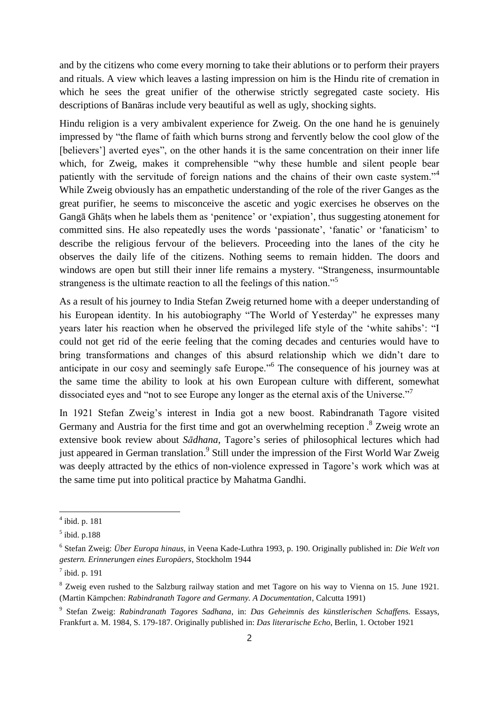and by the citizens who come every morning to take their ablutions or to perform their prayers and rituals. A view which leaves a lasting impression on him is the Hindu rite of cremation in which he sees the great unifier of the otherwise strictly segregated caste society. His descriptions of Banāras include very beautiful as well as ugly, shocking sights.

Hindu religion is a very ambivalent experience for Zweig. On the one hand he is genuinely impressed by "the flame of faith which burns strong and fervently below the cool glow of the [believers'] averted eyes", on the other hands it is the same concentration on their inner life which, for Zweig, makes it comprehensible "why these humble and silent people bear patiently with the servitude of foreign nations and the chains of their own caste system."<sup>4</sup> While Zweig obviously has an empathetic understanding of the role of the river Ganges as the great purifier, he seems to misconceive the ascetic and yogic exercises he observes on the Gangā Ghāṭs when he labels them as 'penitence' or 'expiation', thus suggesting atonement for committed sins. He also repeatedly uses the words 'passionate', 'fanatic' or 'fanaticism' to describe the religious fervour of the believers. Proceeding into the lanes of the city he observes the daily life of the citizens. Nothing seems to remain hidden. The doors and windows are open but still their inner life remains a mystery. "Strangeness, insurmountable strangeness is the ultimate reaction to all the feelings of this nation."<sup>5</sup>

As a result of his journey to India Stefan Zweig returned home with a deeper understanding of his European identity. In his autobiography "The World of Yesterday" he expresses many years later his reaction when he observed the privileged life style of the 'white sahibs': "I could not get rid of the eerie feeling that the coming decades and centuries would have to bring transformations and changes of this absurd relationship which we didn't dare to anticipate in our cosy and seemingly safe Europe."<sup>6</sup> The consequence of his journey was at the same time the ability to look at his own European culture with different, somewhat dissociated eyes and "not to see Europe any longer as the eternal axis of the Universe."<sup>7</sup>

In 1921 Stefan Zweig's interest in India got a new boost. Rabindranath Tagore visited Germany and Austria for the first time and got an overwhelming reception.<sup>8</sup> Zweig wrote an extensive book review about *Sādhana*, Tagore's series of philosophical lectures which had just appeared in German translation.<sup>9</sup> Still under the impression of the First World War Zweig was deeply attracted by the ethics of non-violence expressed in Tagore's work which was at the same time put into political practice by Mahatma Gandhi.

 $\overline{a}$ 

<sup>4</sup> ibid. p. 181

<sup>5</sup> ibid. p.188

<sup>6</sup> Stefan Zweig: *Über Europa hinaus*, in Veena Kade-Luthra 1993, p. 190. Originally published in: *Die Welt von gestern. Erinnerungen eines Europäers*, Stockholm 1944

 $<sup>7</sup>$  ibid. p. 191</sup>

<sup>&</sup>lt;sup>8</sup> Zweig even rushed to the Salzburg railway station and met Tagore on his way to Vienna on 15. June 1921. (Martin Kämpchen: *Rabindranath Tagore and Germany. A Documentation*, Calcutta 1991)

<sup>9</sup> Stefan Zweig: *Rabindranath Tagores Sadhana*, in: *Das Geheimnis des künstlerischen Schaffen*s. Essays, Frankfurt a. M. 1984, S. 179-187. Originally published in: *Das literarische Echo*, Berlin, 1. October 1921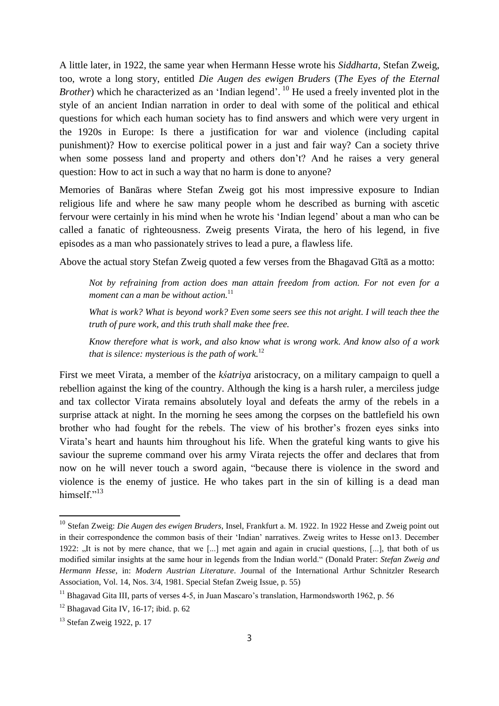A little later, in 1922, the same year when Hermann Hesse wrote his *Siddharta,* Stefan Zweig, too, wrote a long story, entitled *Die Augen des ewigen Bruders* (*The Eyes of the Eternal Brother*) which he characterized as an 'Indian legend'. <sup>10</sup> He used a freely invented plot in the style of an ancient Indian narration in order to deal with some of the political and ethical questions for which each human society has to find answers and which were very urgent in the 1920s in Europe: Is there a justification for war and violence (including capital punishment)? How to exercise political power in a just and fair way? Can a society thrive when some possess land and property and others don't? And he raises a very general question: How to act in such a way that no harm is done to anyone?

Memories of Banāras where Stefan Zweig got his most impressive exposure to Indian religious life and where he saw many people whom he described as burning with ascetic fervour were certainly in his mind when he wrote his 'Indian legend' about a man who can be called a fanatic of righteousness. Zweig presents Virata, the hero of his legend, in five episodes as a man who passionately strives to lead a pure, a flawless life.

Above the actual story Stefan Zweig quoted a few verses from the Bhagavad Gītā as a motto:

*Not by refraining from action does man attain freedom from action. For not even for a moment can a man be without action.*<sup>11</sup>

*What is work? What is beyond work? Even some seers see this not aright. I will teach thee the truth of pure work, and this truth shall make thee free.*

*Know therefore what is work, and also know what is wrong work. And know also of a work that is silence: mysterious is the path of work.*<sup>12</sup>

First we meet Virata, a member of the *kśatriya* aristocracy, on a military campaign to quell a rebellion against the king of the country. Although the king is a harsh ruler, a merciless judge and tax collector Virata remains absolutely loyal and defeats the army of the rebels in a surprise attack at night. In the morning he sees among the corpses on the battlefield his own brother who had fought for the rebels. The view of his brother's frozen eyes sinks into Virata's heart and haunts him throughout his life. When the grateful king wants to give his saviour the supreme command over his army Virata rejects the offer and declares that from now on he will never touch a sword again, "because there is violence in the sword and violence is the enemy of justice. He who takes part in the sin of killing is a dead man himsel $f$ <sup>"13</sup>

<sup>10</sup> Stefan Zweig: *Die Augen des ewigen Bruders*, Insel, Frankfurt a. M. 1922. In 1922 Hesse and Zweig point out in their correspondence the common basis of their 'Indian' narratives. Zweig writes to Hesse on13. December 1922: "It is not by mere chance, that we [...] met again and again in crucial questions, [...], that both of us modified similar insights at the same hour in legends from the Indian world." (Donald Prater: *Stefan Zweig and Hermann Hesse*, in: *Modern Austrian Literature*. Journal of the International Arthur Schnitzler Research Association, Vol. 14, Nos. 3/4, 1981. Special Stefan Zweig Issue, p. 55)

<sup>&</sup>lt;sup>11</sup> Bhagavad Gita III, parts of verses 4-5, in Juan Mascaro's translation, Harmondsworth 1962, p. 56

 $12$  Bhagavad Gita IV, 16-17; ibid. p. 62

<sup>&</sup>lt;sup>13</sup> Stefan Zweig 1922, p. 17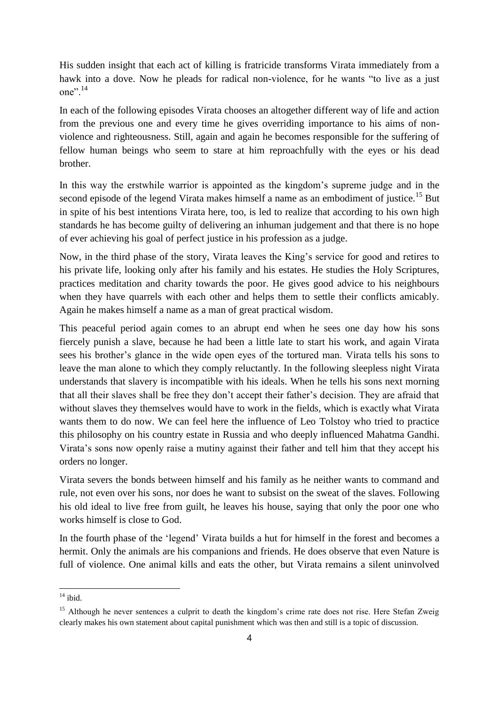His sudden insight that each act of killing is fratricide transforms Virata immediately from a hawk into a dove. Now he pleads for radical non-violence, for he wants "to live as a just one $"$ <sup>14</sup>

In each of the following episodes Virata chooses an altogether different way of life and action from the previous one and every time he gives overriding importance to his aims of nonviolence and righteousness. Still, again and again he becomes responsible for the suffering of fellow human beings who seem to stare at him reproachfully with the eyes or his dead brother.

In this way the erstwhile warrior is appointed as the kingdom's supreme judge and in the second episode of the legend Virata makes himself a name as an embodiment of justice.<sup>15</sup> But in spite of his best intentions Virata here, too, is led to realize that according to his own high standards he has become guilty of delivering an inhuman judgement and that there is no hope of ever achieving his goal of perfect justice in his profession as a judge.

Now, in the third phase of the story, Virata leaves the King's service for good and retires to his private life, looking only after his family and his estates. He studies the Holy Scriptures, practices meditation and charity towards the poor. He gives good advice to his neighbours when they have quarrels with each other and helps them to settle their conflicts amicably. Again he makes himself a name as a man of great practical wisdom.

This peaceful period again comes to an abrupt end when he sees one day how his sons fiercely punish a slave, because he had been a little late to start his work, and again Virata sees his brother's glance in the wide open eyes of the tortured man. Virata tells his sons to leave the man alone to which they comply reluctantly. In the following sleepless night Virata understands that slavery is incompatible with his ideals. When he tells his sons next morning that all their slaves shall be free they don't accept their father's decision. They are afraid that without slaves they themselves would have to work in the fields, which is exactly what Virata wants them to do now. We can feel here the influence of Leo Tolstoy who tried to practice this philosophy on his country estate in Russia and who deeply influenced Mahatma Gandhi. Virata's sons now openly raise a mutiny against their father and tell him that they accept his orders no longer.

Virata severs the bonds between himself and his family as he neither wants to command and rule, not even over his sons, nor does he want to subsist on the sweat of the slaves. Following his old ideal to live free from guilt, he leaves his house, saying that only the poor one who works himself is close to God.

In the fourth phase of the 'legend' Virata builds a hut for himself in the forest and becomes a hermit. Only the animals are his companions and friends. He does observe that even Nature is full of violence. One animal kills and eats the other, but Virata remains a silent uninvolved

 $14$  ibid.

<sup>&</sup>lt;sup>15</sup> Although he never sentences a culprit to death the kingdom's crime rate does not rise. Here Stefan Zweig clearly makes his own statement about capital punishment which was then and still is a topic of discussion.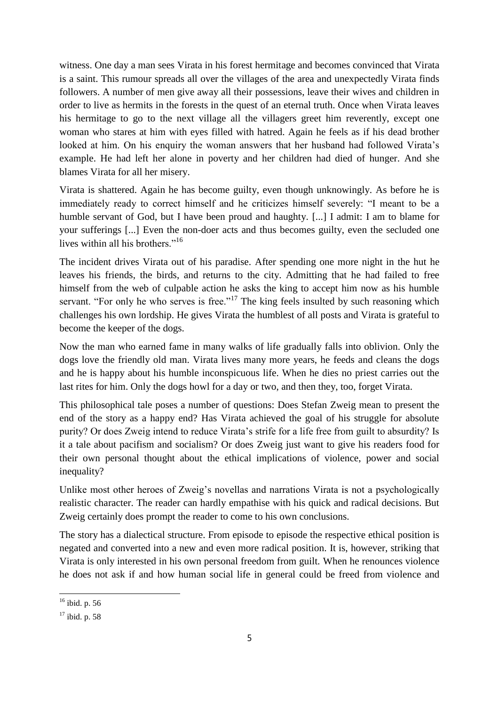witness. One day a man sees Virata in his forest hermitage and becomes convinced that Virata is a saint. This rumour spreads all over the villages of the area and unexpectedly Virata finds followers. A number of men give away all their possessions, leave their wives and children in order to live as hermits in the forests in the quest of an eternal truth. Once when Virata leaves his hermitage to go to the next village all the villagers greet him reverently, except one woman who stares at him with eyes filled with hatred. Again he feels as if his dead brother looked at him. On his enquiry the woman answers that her husband had followed Virata's example. He had left her alone in poverty and her children had died of hunger. And she blames Virata for all her misery.

Virata is shattered. Again he has become guilty, even though unknowingly. As before he is immediately ready to correct himself and he criticizes himself severely: "I meant to be a humble servant of God, but I have been proud and haughty. [...] I admit: I am to blame for your sufferings [...] Even the non-doer acts and thus becomes guilty, even the secluded one lives within all his brothers."<sup>16</sup>

The incident drives Virata out of his paradise. After spending one more night in the hut he leaves his friends, the birds, and returns to the city. Admitting that he had failed to free himself from the web of culpable action he asks the king to accept him now as his humble servant. "For only he who serves is free."<sup>17</sup> The king feels insulted by such reasoning which challenges his own lordship. He gives Virata the humblest of all posts and Virata is grateful to become the keeper of the dogs.

Now the man who earned fame in many walks of life gradually falls into oblivion. Only the dogs love the friendly old man. Virata lives many more years, he feeds and cleans the dogs and he is happy about his humble inconspicuous life. When he dies no priest carries out the last rites for him. Only the dogs howl for a day or two, and then they, too, forget Virata.

This philosophical tale poses a number of questions: Does Stefan Zweig mean to present the end of the story as a happy end? Has Virata achieved the goal of his struggle for absolute purity? Or does Zweig intend to reduce Virata's strife for a life free from guilt to absurdity? Is it a tale about pacifism and socialism? Or does Zweig just want to give his readers food for their own personal thought about the ethical implications of violence, power and social inequality?

Unlike most other heroes of Zweig's novellas and narrations Virata is not a psychologically realistic character. The reader can hardly empathise with his quick and radical decisions. But Zweig certainly does prompt the reader to come to his own conclusions.

The story has a dialectical structure. From episode to episode the respective ethical position is negated and converted into a new and even more radical position. It is, however, striking that Virata is only interested in his own personal freedom from guilt. When he renounces violence he does not ask if and how human social life in general could be freed from violence and

l

 $16$  ibid. p. 56

 $17$  ibid. p. 58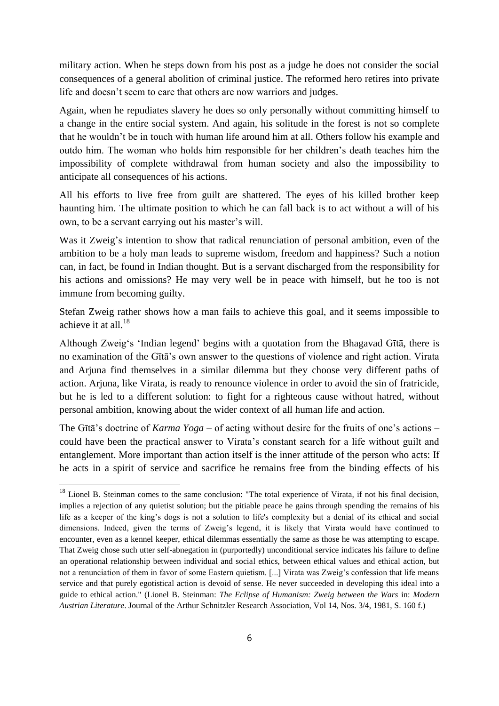military action. When he steps down from his post as a judge he does not consider the social consequences of a general abolition of criminal justice. The reformed hero retires into private life and doesn't seem to care that others are now warriors and judges.

Again, when he repudiates slavery he does so only personally without committing himself to a change in the entire social system. And again, his solitude in the forest is not so complete that he wouldn't be in touch with human life around him at all. Others follow his example and outdo him. The woman who holds him responsible for her children's death teaches him the impossibility of complete withdrawal from human society and also the impossibility to anticipate all consequences of his actions.

All his efforts to live free from guilt are shattered. The eyes of his killed brother keep haunting him. The ultimate position to which he can fall back is to act without a will of his own, to be a servant carrying out his master's will.

Was it Zweig's intention to show that radical renunciation of personal ambition, even of the ambition to be a holy man leads to supreme wisdom, freedom and happiness? Such a notion can, in fact, be found in Indian thought. But is a servant discharged from the responsibility for his actions and omissions? He may very well be in peace with himself, but he too is not immune from becoming guilty.

Stefan Zweig rather shows how a man fails to achieve this goal, and it seems impossible to achieve it at all. 18

Although Zweig's 'Indian legend' begins with a quotation from the Bhagavad Gītā, there is no examination of the Gītā's own answer to the questions of violence and right action. Virata and Arjuna find themselves in a similar dilemma but they choose very different paths of action. Arjuna, like Virata, is ready to renounce violence in order to avoid the sin of fratricide, but he is led to a different solution: to fight for a righteous cause without hatred, without personal ambition, knowing about the wider context of all human life and action.

The Gītā's doctrine of *Karma Yoga* – of acting without desire for the fruits of one's actions – could have been the practical answer to Virata's constant search for a life without guilt and entanglement. More important than action itself is the inner attitude of the person who acts: If he acts in a spirit of service and sacrifice he remains free from the binding effects of his

l

<sup>&</sup>lt;sup>18</sup> Lionel B. Steinman comes to the same conclusion: "The total experience of Virata, if not his final decision, implies a rejection of any quietist solution; but the pitiable peace he gains through spending the remains of his life as a keeper of the king's dogs is not a solution to life's complexity but a denial of its ethical and social dimensions. Indeed, given the terms of Zweig's legend, it is likely that Virata would have continued to encounter, even as a kennel keeper, ethical dilemmas essentially the same as those he was attempting to escape. That Zweig chose such utter self-abnegation in (purportedly) unconditional service indicates his failure to define an operational relationship between individual and social ethics, between ethical values and ethical action, but not a renunciation of them in favor of some Eastern quietism. [...] Virata was Zweig's confession that life means service and that purely egotistical action is devoid of sense. He never succeeded in developing this ideal into a guide to ethical action." (Lionel B. Steinman: *The Eclipse of Humanism: Zweig between the Wars* in: *Modern Austrian Literature*. Journal of the Arthur Schnitzler Research Association, Vol 14, Nos. 3/4, 1981, S. 160 f.)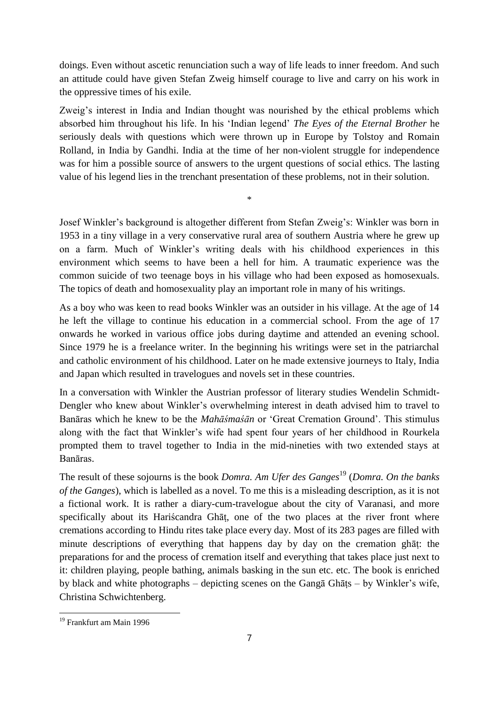doings. Even without ascetic renunciation such a way of life leads to inner freedom. And such an attitude could have given Stefan Zweig himself courage to live and carry on his work in the oppressive times of his exile.

Zweig's interest in India and Indian thought was nourished by the ethical problems which absorbed him throughout his life. In his 'Indian legend' *The Eyes of the Eternal Brother* he seriously deals with questions which were thrown up in Europe by Tolstoy and Romain Rolland, in India by Gandhi. India at the time of her non-violent struggle for independence was for him a possible source of answers to the urgent questions of social ethics. The lasting value of his legend lies in the trenchant presentation of these problems, not in their solution.

\*

Josef Winkler's background is altogether different from Stefan Zweig's: Winkler was born in 1953 in a tiny village in a very conservative rural area of southern Austria where he grew up on a farm. Much of Winkler's writing deals with his childhood experiences in this environment which seems to have been a hell for him. A traumatic experience was the common suicide of two teenage boys in his village who had been exposed as homosexuals. The topics of death and homosexuality play an important role in many of his writings.

As a boy who was keen to read books Winkler was an outsider in his village. At the age of 14 he left the village to continue his education in a commercial school. From the age of 17 onwards he worked in various office jobs during daytime and attended an evening school. Since 1979 he is a freelance writer. In the beginning his writings were set in the patriarchal and catholic environment of his childhood. Later on he made extensive journeys to Italy, India and Japan which resulted in travelogues and novels set in these countries.

In a conversation with Winkler the Austrian professor of literary studies Wendelin Schmidt-Dengler who knew about Winkler's overwhelming interest in death advised him to travel to Banāras which he knew to be the *Mahāśmaśān* or 'Great Cremation Ground'. This stimulus along with the fact that Winkler's wife had spent four years of her childhood in Rourkela prompted them to travel together to India in the mid-nineties with two extended stays at Banāras.

The result of these sojourns is the book *Domra. Am Ufer des Ganges*<sup>19</sup> (*Domra. On the banks of the Ganges*), which is labelled as a novel. To me this is a misleading description, as it is not a fictional work. It is rather a diary-cum-travelogue about the city of Varanasi, and more specifically about its Hariścandra Ghāṭ, one of the two places at the river front where cremations according to Hindu rites take place every day. Most of its 283 pages are filled with minute descriptions of everything that happens day by day on the cremation ghāṭ: the preparations for and the process of cremation itself and everything that takes place just next to it: children playing, people bathing, animals basking in the sun etc. etc. The book is enriched by black and white photographs – depicting scenes on the Gangā Ghāṭs – by Winkler's wife, Christina Schwichtenberg.

 $\overline{a}$ 

<sup>19</sup> Frankfurt am Main 1996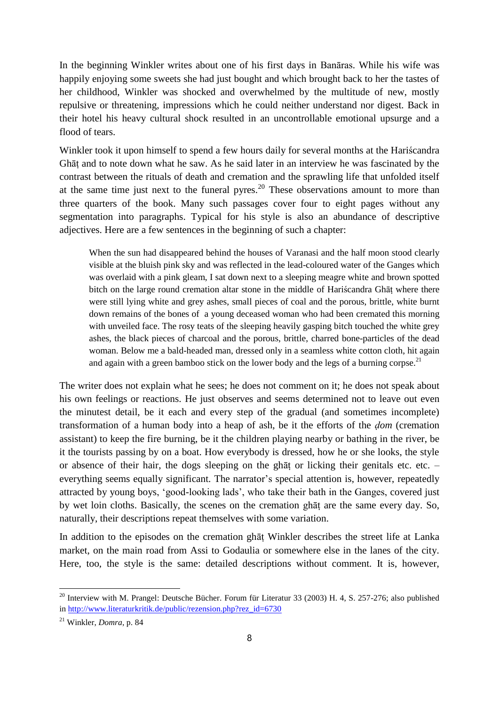In the beginning Winkler writes about one of his first days in Banāras. While his wife was happily enjoying some sweets she had just bought and which brought back to her the tastes of her childhood, Winkler was shocked and overwhelmed by the multitude of new, mostly repulsive or threatening, impressions which he could neither understand nor digest. Back in their hotel his heavy cultural shock resulted in an uncontrollable emotional upsurge and a flood of tears.

Winkler took it upon himself to spend a few hours daily for several months at the Hariścandra Ghāṭ and to note down what he saw. As he said later in an interview he was fascinated by the contrast between the rituals of death and cremation and the sprawling life that unfolded itself at the same time just next to the funeral pyres.<sup>20</sup> These observations amount to more than three quarters of the book. Many such passages cover four to eight pages without any segmentation into paragraphs. Typical for his style is also an abundance of descriptive adjectives. Here are a few sentences in the beginning of such a chapter:

When the sun had disappeared behind the houses of Varanasi and the half moon stood clearly visible at the bluish pink sky and was reflected in the lead-coloured water of the Ganges which was overlaid with a pink gleam, I sat down next to a sleeping meagre white and brown spotted bitch on the large round cremation altar stone in the middle of Hariscandra Ghāt where there were still lying white and grey ashes, small pieces of coal and the porous, brittle, white burnt down remains of the bones of a young deceased woman who had been cremated this morning with unveiled face. The rosy teats of the sleeping heavily gasping bitch touched the white grey ashes, the black pieces of charcoal and the porous, brittle, charred bone-particles of the dead woman. Below me a bald-headed man, dressed only in a seamless white cotton cloth, hit again and again with a green bamboo stick on the lower body and the legs of a burning corpse.<sup>21</sup>

The writer does not explain what he sees; he does not comment on it; he does not speak about his own feelings or reactions. He just observes and seems determined not to leave out even the minutest detail, be it each and every step of the gradual (and sometimes incomplete) transformation of a human body into a heap of ash, be it the efforts of the *ḍom* (cremation assistant) to keep the fire burning, be it the children playing nearby or bathing in the river, be it the tourists passing by on a boat. How everybody is dressed, how he or she looks, the style or absence of their hair, the dogs sleeping on the ghāṭ or licking their genitals etc. etc. – everything seems equally significant. The narrator's special attention is, however, repeatedly attracted by young boys, 'good-looking lads', who take their bath in the Ganges, covered just by wet loin cloths. Basically, the scenes on the cremation ghāṭ are the same every day. So, naturally, their descriptions repeat themselves with some variation.

In addition to the episodes on the cremation ghāṭ Winkler describes the street life at Lanka market, on the main road from Assi to Godaulia or somewhere else in the lanes of the city. Here, too, the style is the same: detailed descriptions without comment. It is, however,

<sup>&</sup>lt;sup>20</sup> Interview with M. Prangel: Deutsche Bücher. Forum für Literatur 33 (2003) H. 4, S. 257-276; also published in [http://www.literaturkritik.de/public/rezension.php?rez\\_id=6730](http://www.literaturkritik.de/public/rezension.php?rez_id=6730)

<sup>21</sup> Winkler, *Domra*, p. 84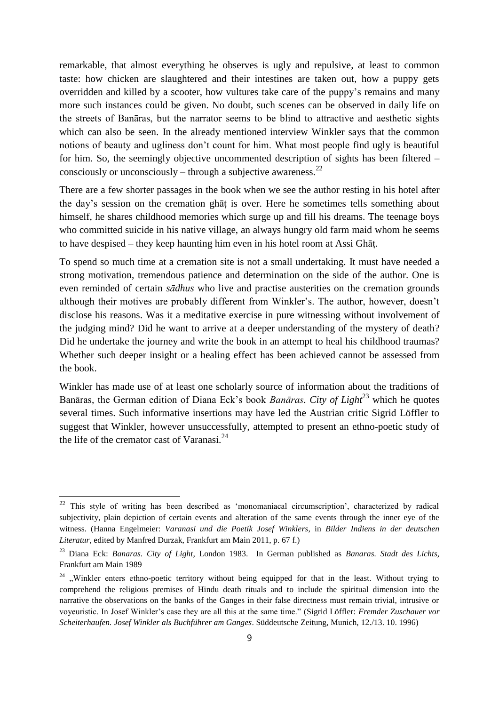remarkable, that almost everything he observes is ugly and repulsive, at least to common taste: how chicken are slaughtered and their intestines are taken out, how a puppy gets overridden and killed by a scooter, how vultures take care of the puppy's remains and many more such instances could be given. No doubt, such scenes can be observed in daily life on the streets of Banāras, but the narrator seems to be blind to attractive and aesthetic sights which can also be seen. In the already mentioned interview Winkler says that the common notions of beauty and ugliness don't count for him. What most people find ugly is beautiful for him. So, the seemingly objective uncommented description of sights has been filtered – consciously or unconsciously – through a subjective awareness. $^{22}$ 

There are a few shorter passages in the book when we see the author resting in his hotel after the day's session on the cremation ghāṭ is over. Here he sometimes tells something about himself, he shares childhood memories which surge up and fill his dreams. The teenage boys who committed suicide in his native village, an always hungry old farm maid whom he seems to have despised – they keep haunting him even in his hotel room at Assi Ghāṭ.

To spend so much time at a cremation site is not a small undertaking. It must have needed a strong motivation, tremendous patience and determination on the side of the author. One is even reminded of certain *sādhus* who live and practise austerities on the cremation grounds although their motives are probably different from Winkler's. The author, however, doesn't disclose his reasons. Was it a meditative exercise in pure witnessing without involvement of the judging mind? Did he want to arrive at a deeper understanding of the mystery of death? Did he undertake the journey and write the book in an attempt to heal his childhood traumas? Whether such deeper insight or a healing effect has been achieved cannot be assessed from the book.

Winkler has made use of at least one scholarly source of information about the traditions of Banāras, the German edition of Diana Eck's book *Banāras. City of Light*<sup>23</sup> which he quotes several times. Such informative insertions may have led the Austrian critic Sigrid Löffler to suggest that Winkler, however unsuccessfully, attempted to present an ethno-poetic study of the life of the cremator cast of Varanasi. $^{24}$ 

l

<sup>&</sup>lt;sup>22</sup> This style of writing has been described as 'monomaniacal circumscription', characterized by radical subjectivity, plain depiction of certain events and alteration of the same events through the inner eye of the witness. (Hanna Engelmeier: *Varanasi und die Poetik Josef Winklers*, in *Bilder Indiens in der deutschen Literatur*, edited by Manfred Durzak, Frankfurt am Main 2011, p. 67 f.)

<sup>23</sup> Diana Eck: *Banaras. City of Light*, London 1983. In German published as *Banaras. Stadt des Lichts*, Frankfurt am Main 1989

<sup>&</sup>lt;sup>24</sup> .,Winkler enters ethno-poetic territory without being equipped for that in the least. Without trying to comprehend the religious premises of Hindu death rituals and to include the spiritual dimension into the narrative the observations on the banks of the Ganges in their false directness must remain trivial, intrusive or voyeuristic. In Josef Winkler's case they are all this at the same time." (Sigrid Löffler: *Fremder Zuschauer vor Scheiterhaufen. Josef Winkler als Buchführer am Ganges*. Süddeutsche Zeitung, Munich, 12./13. 10. 1996)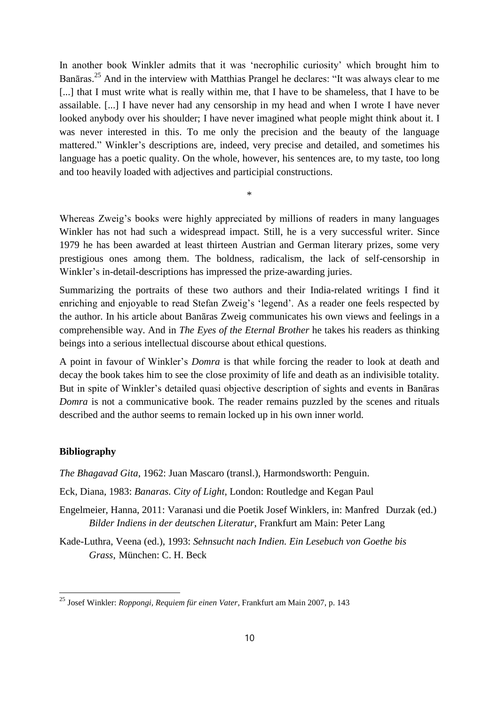In another book Winkler admits that it was 'necrophilic curiosity' which brought him to Banāras.<sup>25</sup> And in the interview with Matthias Prangel he declares: "It was always clear to me [...] that I must write what is really within me, that I have to be shameless, that I have to be assailable. [...] I have never had any censorship in my head and when I wrote I have never looked anybody over his shoulder; I have never imagined what people might think about it. I was never interested in this. To me only the precision and the beauty of the language mattered." Winkler's descriptions are, indeed, very precise and detailed, and sometimes his language has a poetic quality. On the whole, however, his sentences are, to my taste, too long and too heavily loaded with adjectives and participial constructions.

Whereas Zweig's books were highly appreciated by millions of readers in many languages Winkler has not had such a widespread impact. Still, he is a very successful writer. Since 1979 he has been awarded at least thirteen Austrian and German literary prizes, some very prestigious ones among them. The boldness, radicalism, the lack of self-censorship in Winkler's in-detail-descriptions has impressed the prize-awarding juries.

\*

Summarizing the portraits of these two authors and their India-related writings I find it enriching and enjoyable to read Stefan Zweig's 'legend'. As a reader one feels respected by the author. In his article about Banāras Zweig communicates his own views and feelings in a comprehensible way. And in *The Eyes of the Eternal Brother* he takes his readers as thinking beings into a serious intellectual discourse about ethical questions.

A point in favour of Winkler's *Domra* is that while forcing the reader to look at death and decay the book takes him to see the close proximity of life and death as an indivisible totality. But in spite of Winkler's detailed quasi objective description of sights and events in Banāras *Domra* is not a communicative book. The reader remains puzzled by the scenes and rituals described and the author seems to remain locked up in his own inner world.

## **Bibliography**

 $\overline{a}$ 

*The Bhagavad Gita*, 1962: Juan Mascaro (transl.), Harmondsworth: Penguin.

Eck, Diana, 1983: *Banaras. City of Light*, London: Routledge and Kegan Paul

Engelmeier, Hanna, 2011: Varanasi und die Poetik Josef Winklers, in: Manfred Durzak (ed.) *Bilder Indiens in der deutschen Literatur*, Frankfurt am Main: Peter Lang

Kade-Luthra, Veena (ed.), 1993: *Sehnsucht nach Indien. Ein Lesebuch von Goethe bis Grass*, München: C. H. Beck

<sup>25</sup> Josef Winkler: *Roppongi, Requiem für einen Vater*, Frankfurt am Main 2007, p. 143